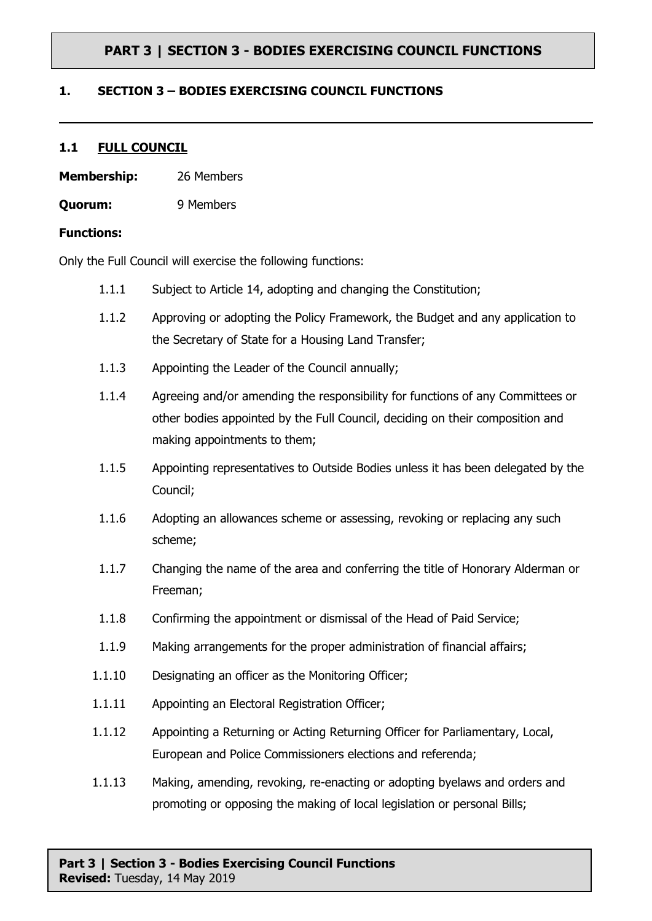### **1. SECTION 3 – BODIES EXERCISING COUNCIL FUNCTIONS**

#### **1.1 FULL COUNCIL**

- **Membership:** 26 Members
- **Quorum:** 9 Members

#### **Functions:**

Only the Full Council will exercise the following functions:

- 1.1.1 Subject to Article 14, adopting and changing the Constitution;
- 1.1.2 Approving or adopting the Policy Framework, the Budget and any application to the Secretary of State for a Housing Land Transfer;
- 1.1.3 Appointing the Leader of the Council annually;
- 1.1.4 Agreeing and/or amending the responsibility for functions of any Committees or other bodies appointed by the Full Council, deciding on their composition and making appointments to them;
- 1.1.5 Appointing representatives to Outside Bodies unless it has been delegated by the Council;
- 1.1.6 Adopting an allowances scheme or assessing, revoking or replacing any such scheme;
- 1.1.7 Changing the name of the area and conferring the title of Honorary Alderman or Freeman;
- 1.1.8 Confirming the appointment or dismissal of the Head of Paid Service;
- 1.1.9 Making arrangements for the proper administration of financial affairs;
- 1.1.10 Designating an officer as the Monitoring Officer;
- 1.1.11 Appointing an Electoral Registration Officer;
- 1.1.12 Appointing a Returning or Acting Returning Officer for Parliamentary, Local, European and Police Commissioners elections and referenda;
- 1.1.13 Making, amending, revoking, re-enacting or adopting byelaws and orders and promoting or opposing the making of local legislation or personal Bills;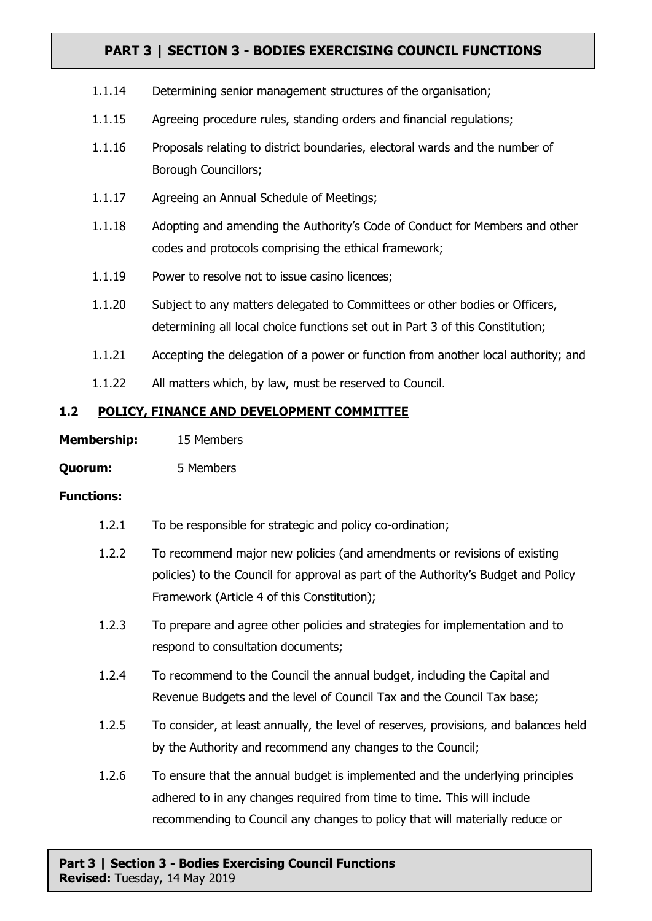- 1.1.14 Determining senior management structures of the organisation;
- 1.1.15 Agreeing procedure rules, standing orders and financial regulations;
- 1.1.16 Proposals relating to district boundaries, electoral wards and the number of Borough Councillors;
- 1.1.17 Agreeing an Annual Schedule of Meetings;
- 1.1.18 Adopting and amending the Authority's Code of Conduct for Members and other codes and protocols comprising the ethical framework;
- 1.1.19 Power to resolve not to issue casino licences;
- 1.1.20 Subject to any matters delegated to Committees or other bodies or Officers, determining all local choice functions set out in Part 3 of this Constitution;
- 1.1.21 Accepting the delegation of a power or function from another local authority; and
- 1.1.22 All matters which, by law, must be reserved to Council.

## **1.2 POLICY, FINANCE AND DEVELOPMENT COMMITTEE**

| <b>Membership:</b> | 15 Members |
|--------------------|------------|
|--------------------|------------|

**Quorum:** 5 Members

### **Functions:**

- 1.2.1 To be responsible for strategic and policy co-ordination;
- 1.2.2 To recommend major new policies (and amendments or revisions of existing policies) to the Council for approval as part of the Authority's Budget and Policy Framework (Article 4 of this Constitution);
- 1.2.3 To prepare and agree other policies and strategies for implementation and to respond to consultation documents;
- 1.2.4 To recommend to the Council the annual budget, including the Capital and Revenue Budgets and the level of Council Tax and the Council Tax base;
- 1.2.5 To consider, at least annually, the level of reserves, provisions, and balances held by the Authority and recommend any changes to the Council;
- 1.2.6 To ensure that the annual budget is implemented and the underlying principles adhered to in any changes required from time to time. This will include recommending to Council any changes to policy that will materially reduce or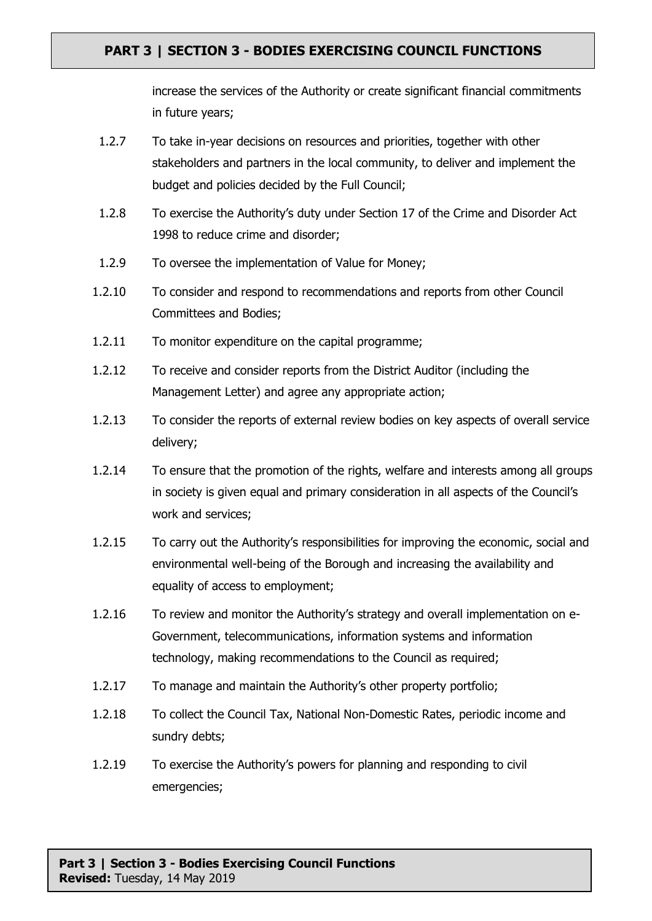increase the services of the Authority or create significant financial commitments in future years;

- 1.2.7 To take in-year decisions on resources and priorities, together with other stakeholders and partners in the local community, to deliver and implement the budget and policies decided by the Full Council;
- 1.2.8 To exercise the Authority's duty under Section 17 of the Crime and Disorder Act 1998 to reduce crime and disorder;
- 1.2.9 To oversee the implementation of Value for Money;
- 1.2.10 To consider and respond to recommendations and reports from other Council Committees and Bodies;
- 1.2.11 To monitor expenditure on the capital programme;
- 1.2.12 To receive and consider reports from the District Auditor (including the Management Letter) and agree any appropriate action;
- 1.2.13 To consider the reports of external review bodies on key aspects of overall service delivery;
- 1.2.14 To ensure that the promotion of the rights, welfare and interests among all groups in society is given equal and primary consideration in all aspects of the Council's work and services;
- 1.2.15 To carry out the Authority's responsibilities for improving the economic, social and environmental well-being of the Borough and increasing the availability and equality of access to employment;
- 1.2.16 To review and monitor the Authority's strategy and overall implementation on e-Government, telecommunications, information systems and information technology, making recommendations to the Council as required;
- 1.2.17 To manage and maintain the Authority's other property portfolio;
- 1.2.18 To collect the Council Tax, National Non-Domestic Rates, periodic income and sundry debts;
- 1.2.19 To exercise the Authority's powers for planning and responding to civil emergencies;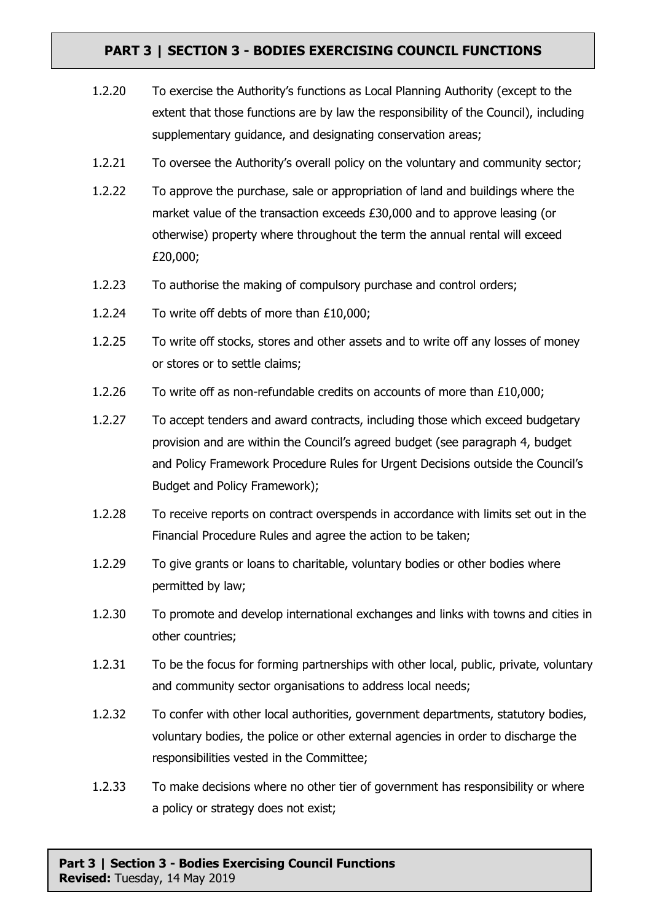- 1.2.20 To exercise the Authority's functions as Local Planning Authority (except to the extent that those functions are by law the responsibility of the Council), including supplementary guidance, and designating conservation areas;
- 1.2.21 To oversee the Authority's overall policy on the voluntary and community sector;
- 1.2.22 To approve the purchase, sale or appropriation of land and buildings where the market value of the transaction exceeds £30,000 and to approve leasing (or otherwise) property where throughout the term the annual rental will exceed £20,000;
- 1.2.23 To authorise the making of compulsory purchase and control orders;
- 1.2.24 To write off debts of more than £10,000;
- 1.2.25 To write off stocks, stores and other assets and to write off any losses of money or stores or to settle claims;
- 1.2.26 To write off as non-refundable credits on accounts of more than £10,000;
- 1.2.27 To accept tenders and award contracts, including those which exceed budgetary provision and are within the Council's agreed budget (see paragraph 4, budget and Policy Framework Procedure Rules for Urgent Decisions outside the Council's Budget and Policy Framework);
- 1.2.28 To receive reports on contract overspends in accordance with limits set out in the Financial Procedure Rules and agree the action to be taken;
- 1.2.29 To give grants or loans to charitable, voluntary bodies or other bodies where permitted by law;
- 1.2.30 To promote and develop international exchanges and links with towns and cities in other countries;
- 1.2.31 To be the focus for forming partnerships with other local, public, private, voluntary and community sector organisations to address local needs;
- 1.2.32 To confer with other local authorities, government departments, statutory bodies, voluntary bodies, the police or other external agencies in order to discharge the responsibilities vested in the Committee;
- 1.2.33 To make decisions where no other tier of government has responsibility or where a policy or strategy does not exist;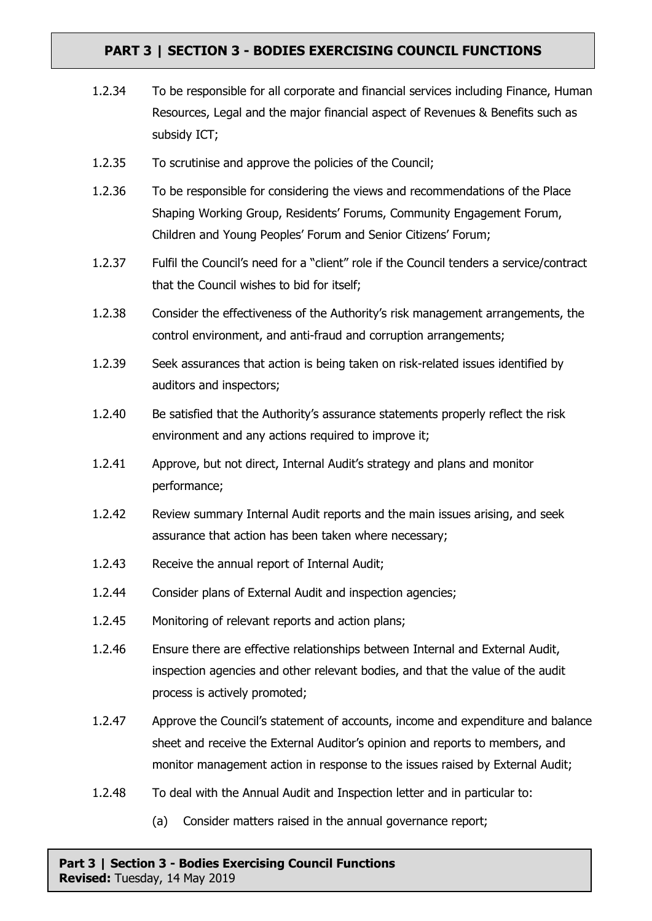- 1.2.34 To be responsible for all corporate and financial services including Finance, Human Resources, Legal and the major financial aspect of Revenues & Benefits such as subsidy ICT;
- 1.2.35 To scrutinise and approve the policies of the Council;
- 1.2.36 To be responsible for considering the views and recommendations of the Place Shaping Working Group, Residents' Forums, Community Engagement Forum, Children and Young Peoples' Forum and Senior Citizens' Forum;
- 1.2.37 Fulfil the Council's need for a "client" role if the Council tenders a service/contract that the Council wishes to bid for itself;
- 1.2.38 Consider the effectiveness of the Authority's risk management arrangements, the control environment, and anti-fraud and corruption arrangements;
- 1.2.39 Seek assurances that action is being taken on risk-related issues identified by auditors and inspectors;
- 1.2.40 Be satisfied that the Authority's assurance statements properly reflect the risk environment and any actions required to improve it;
- 1.2.41 Approve, but not direct, Internal Audit's strategy and plans and monitor performance;
- 1.2.42 Review summary Internal Audit reports and the main issues arising, and seek assurance that action has been taken where necessary;
- 1.2.43 Receive the annual report of Internal Audit;
- 1.2.44 Consider plans of External Audit and inspection agencies;
- 1.2.45 Monitoring of relevant reports and action plans;
- 1.2.46 Ensure there are effective relationships between Internal and External Audit, inspection agencies and other relevant bodies, and that the value of the audit process is actively promoted;
- 1.2.47 Approve the Council's statement of accounts, income and expenditure and balance sheet and receive the External Auditor's opinion and reports to members, and monitor management action in response to the issues raised by External Audit;
- 1.2.48 To deal with the Annual Audit and Inspection letter and in particular to:
	- (a) Consider matters raised in the annual governance report;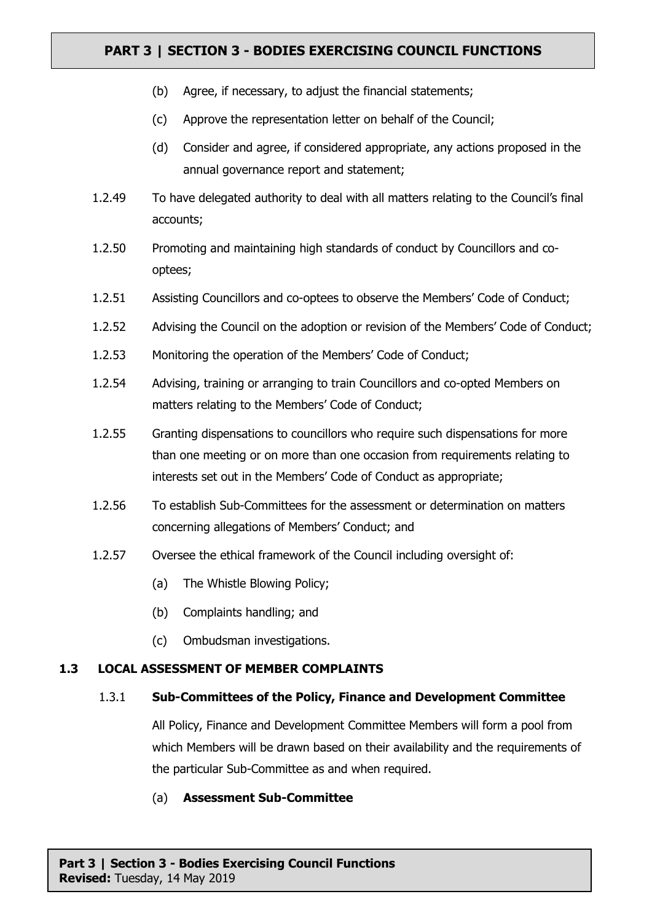- (b) Agree, if necessary, to adjust the financial statements;
- (c) Approve the representation letter on behalf of the Council;
- (d) Consider and agree, if considered appropriate, any actions proposed in the annual governance report and statement;
- 1.2.49 To have delegated authority to deal with all matters relating to the Council's final accounts;
- 1.2.50 Promoting and maintaining high standards of conduct by Councillors and cooptees;
- 1.2.51 Assisting Councillors and co-optees to observe the Members' Code of Conduct;
- 1.2.52 Advising the Council on the adoption or revision of the Members' Code of Conduct;
- 1.2.53 Monitoring the operation of the Members' Code of Conduct;
- 1.2.54 Advising, training or arranging to train Councillors and co-opted Members on matters relating to the Members' Code of Conduct;
- 1.2.55 Granting dispensations to councillors who require such dispensations for more than one meeting or on more than one occasion from requirements relating to interests set out in the Members' Code of Conduct as appropriate;
- 1.2.56 To establish Sub-Committees for the assessment or determination on matters concerning allegations of Members' Conduct; and
- 1.2.57 Oversee the ethical framework of the Council including oversight of:
	- (a) The Whistle Blowing Policy;
	- (b) Complaints handling; and
	- (c) Ombudsman investigations.

## **1.3 LOCAL ASSESSMENT OF MEMBER COMPLAINTS**

#### 1.3.1 **Sub-Committees of the Policy, Finance and Development Committee**

All Policy, Finance and Development Committee Members will form a pool from which Members will be drawn based on their availability and the requirements of the particular Sub-Committee as and when required.

(a) **Assessment Sub-Committee**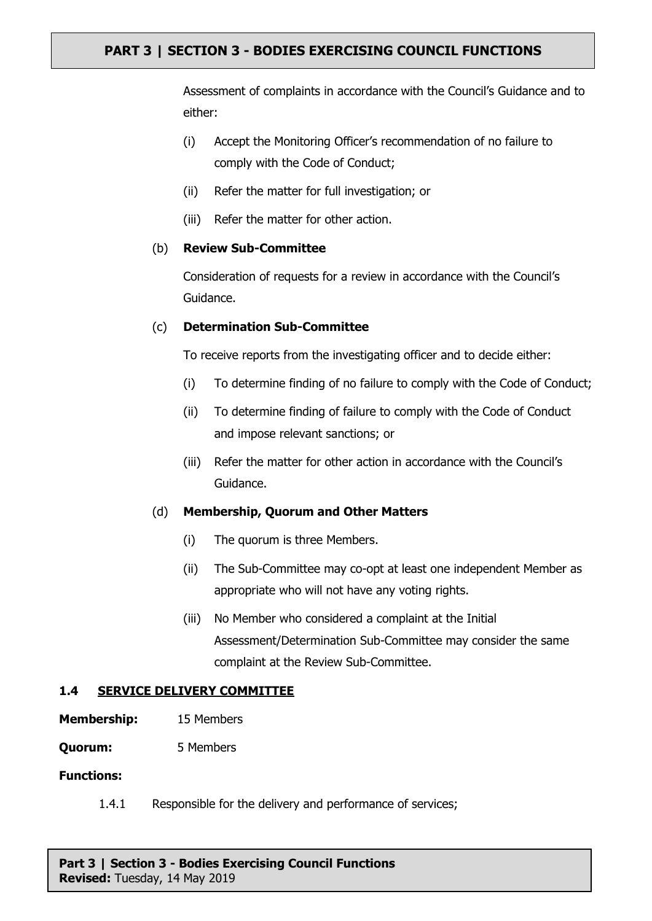Assessment of complaints in accordance with the Council's Guidance and to either:

- (i) Accept the Monitoring Officer's recommendation of no failure to comply with the Code of Conduct;
- (ii) Refer the matter for full investigation; or
- (iii) Refer the matter for other action.

### (b) **Review Sub-Committee**

Consideration of requests for a review in accordance with the Council's Guidance.

### (c) **Determination Sub-Committee**

To receive reports from the investigating officer and to decide either:

- (i) To determine finding of no failure to comply with the Code of Conduct;
- (ii) To determine finding of failure to comply with the Code of Conduct and impose relevant sanctions; or
- (iii) Refer the matter for other action in accordance with the Council's Guidance.

## (d) **Membership, Quorum and Other Matters**

- (i) The quorum is three Members.
- (ii) The Sub-Committee may co-opt at least one independent Member as appropriate who will not have any voting rights.
- (iii) No Member who considered a complaint at the Initial Assessment/Determination Sub-Committee may consider the same complaint at the Review Sub-Committee.

## **1.4 SERVICE DELIVERY COMMITTEE**

- **Membership:** 15 Members
- **Quorum:** 5 Members

#### **Functions:**

1.4.1 Responsible for the delivery and performance of services;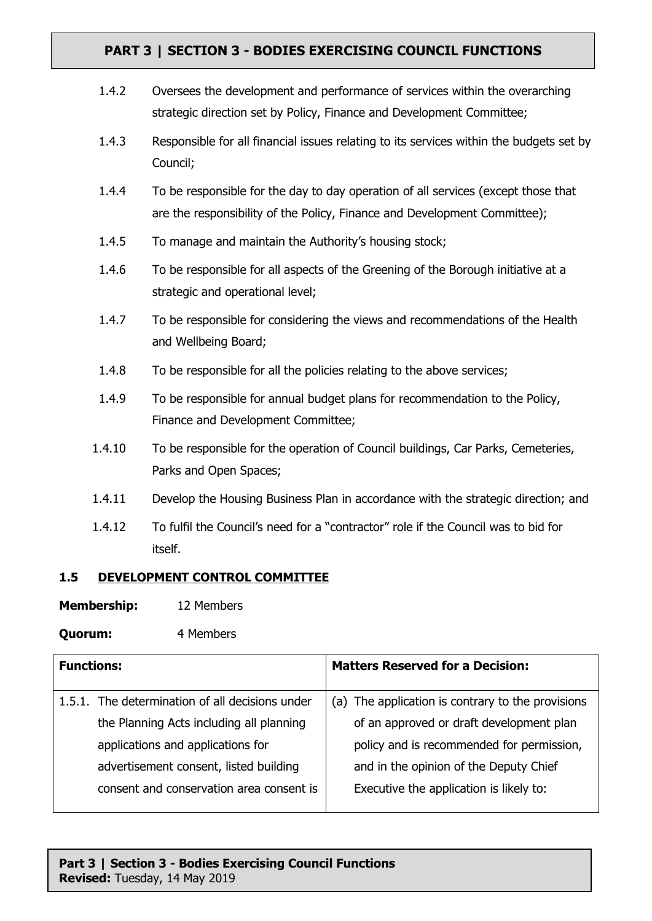| 1.4.2  | Oversees the development and performance of services within the overarching<br>strategic direction set by Policy, Finance and Development Committee;           |
|--------|----------------------------------------------------------------------------------------------------------------------------------------------------------------|
| 1.4.3  | Responsible for all financial issues relating to its services within the budgets set by<br>Council;                                                            |
| 1.4.4  | To be responsible for the day to day operation of all services (except those that<br>are the responsibility of the Policy, Finance and Development Committee); |
| 1.4.5  | To manage and maintain the Authority's housing stock;                                                                                                          |
| 1.4.6  | To be responsible for all aspects of the Greening of the Borough initiative at a<br>strategic and operational level;                                           |
| 1.4.7  | To be responsible for considering the views and recommendations of the Health<br>and Wellbeing Board;                                                          |
| 1.4.8  | To be responsible for all the policies relating to the above services;                                                                                         |
| 1.4.9  | To be responsible for annual budget plans for recommendation to the Policy,<br>Finance and Development Committee;                                              |
| 1.4.10 | To be responsible for the operation of Council buildings, Car Parks, Cemeteries,<br>Parks and Open Spaces;                                                     |
| 1.4.11 | Develop the Housing Business Plan in accordance with the strategic direction; and                                                                              |
| 1.4.12 | To fulfil the Council's need for a "contractor" role if the Council was to bid for                                                                             |

itself.

## **1.5 DEVELOPMENT CONTROL COMMITTEE**

**Membership:** 12 Members

# **Quorum:** 4 Members

| <b>Functions:</b>                               | <b>Matters Reserved for a Decision:</b>           |
|-------------------------------------------------|---------------------------------------------------|
| 1.5.1. The determination of all decisions under | (a) The application is contrary to the provisions |
| the Planning Acts including all planning        | of an approved or draft development plan          |
| applications and applications for               | policy and is recommended for permission,         |
| advertisement consent, listed building          | and in the opinion of the Deputy Chief            |
| consent and conservation area consent is        | Executive the application is likely to:           |
|                                                 |                                                   |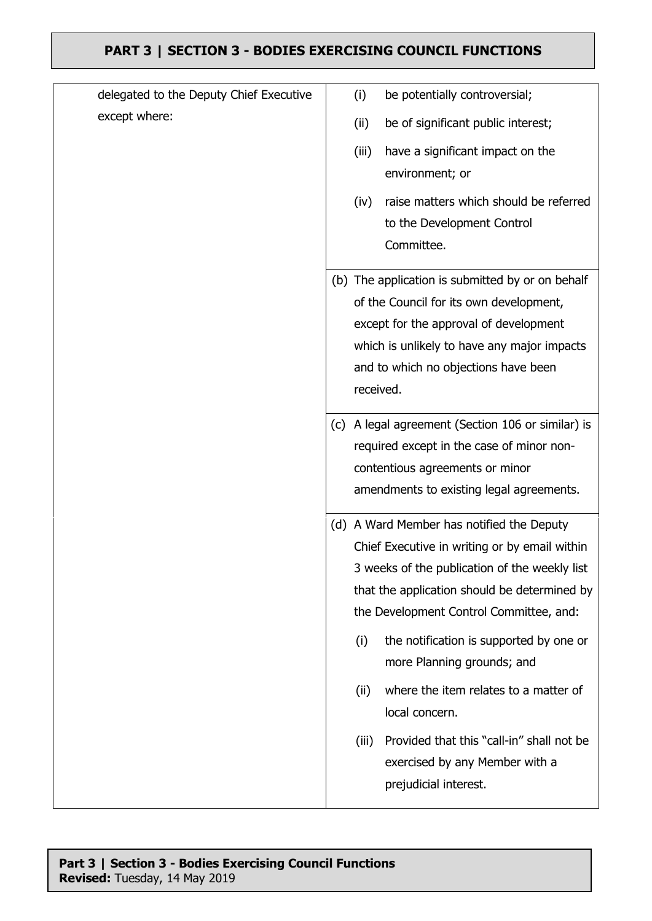| delegated to the Deputy Chief Executive |     | (i)       | be potentially controversial;                    |
|-----------------------------------------|-----|-----------|--------------------------------------------------|
| except where:                           |     | (ii)      | be of significant public interest;               |
|                                         |     | (iii)     | have a significant impact on the                 |
|                                         |     |           | environment; or                                  |
|                                         |     | (iv)      | raise matters which should be referred           |
|                                         |     |           | to the Development Control                       |
|                                         |     |           | Committee.                                       |
|                                         |     |           | (b) The application is submitted by or on behalf |
|                                         |     |           | of the Council for its own development,          |
|                                         |     |           | except for the approval of development           |
|                                         |     |           | which is unlikely to have any major impacts      |
|                                         |     | received. | and to which no objections have been             |
|                                         |     |           |                                                  |
|                                         | (c) |           | A legal agreement (Section 106 or similar) is    |
|                                         |     |           | required except in the case of minor non-        |
|                                         |     |           | contentious agreements or minor                  |
|                                         |     |           | amendments to existing legal agreements.         |
|                                         |     |           | (d) A Ward Member has notified the Deputy        |
|                                         |     |           | Chief Executive in writing or by email within    |
|                                         |     |           | 3 weeks of the publication of the weekly list    |
|                                         |     |           | that the application should be determined by     |
|                                         |     |           | the Development Control Committee, and:          |
|                                         |     | (i)       | the notification is supported by one or          |
|                                         |     |           | more Planning grounds; and                       |
|                                         |     | (ii)      | where the item relates to a matter of            |
|                                         |     |           | local concern.                                   |
|                                         |     | (iii)     | Provided that this "call-in" shall not be        |
|                                         |     |           | exercised by any Member with a                   |
|                                         |     |           | prejudicial interest.                            |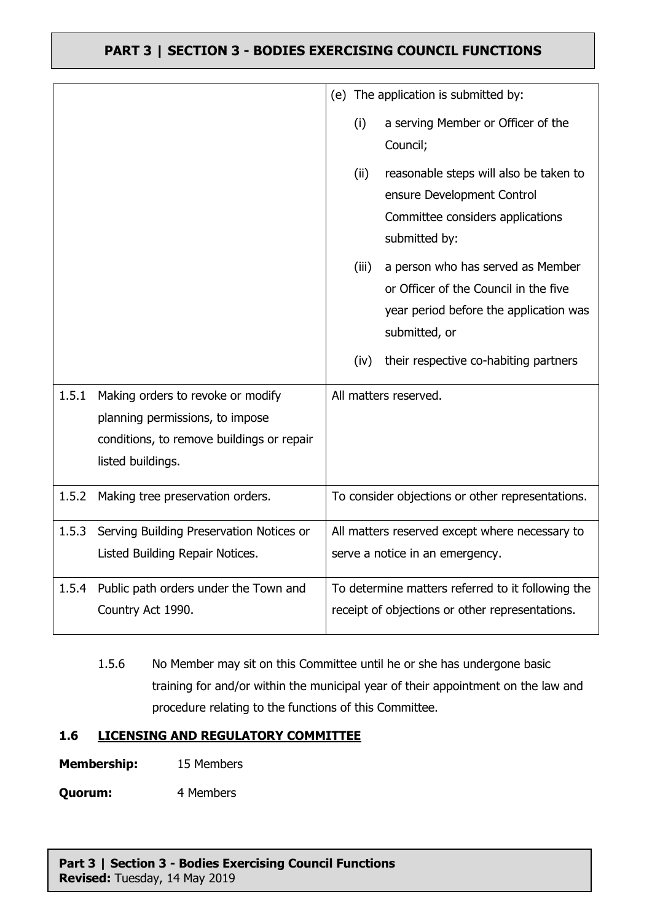|       |                                                                                                                                        |       | (e) The application is submitted by:                                                                                                  |
|-------|----------------------------------------------------------------------------------------------------------------------------------------|-------|---------------------------------------------------------------------------------------------------------------------------------------|
|       |                                                                                                                                        | (i)   | a serving Member or Officer of the<br>Council;                                                                                        |
|       |                                                                                                                                        | (ii)  | reasonable steps will also be taken to<br>ensure Development Control<br>Committee considers applications<br>submitted by:             |
|       |                                                                                                                                        | (iii) | a person who has served as Member<br>or Officer of the Council in the five<br>year period before the application was<br>submitted, or |
|       |                                                                                                                                        | (iv)  | their respective co-habiting partners                                                                                                 |
| 1.5.1 | Making orders to revoke or modify<br>planning permissions, to impose<br>conditions, to remove buildings or repair<br>listed buildings. |       | All matters reserved.                                                                                                                 |
| 1.5.2 | Making tree preservation orders.                                                                                                       |       | To consider objections or other representations.                                                                                      |
| 1.5.3 | Serving Building Preservation Notices or<br>Listed Building Repair Notices.                                                            |       | All matters reserved except where necessary to<br>serve a notice in an emergency.                                                     |
| 1.5.4 | Public path orders under the Town and<br>Country Act 1990.                                                                             |       | To determine matters referred to it following the<br>receipt of objections or other representations.                                  |

1.5.6 No Member may sit on this Committee until he or she has undergone basic training for and/or within the municipal year of their appointment on the law and procedure relating to the functions of this Committee.

## **1.6 LICENSING AND REGULATORY COMMITTEE**

**Membership:** 15 Members

**Quorum:** 4 Members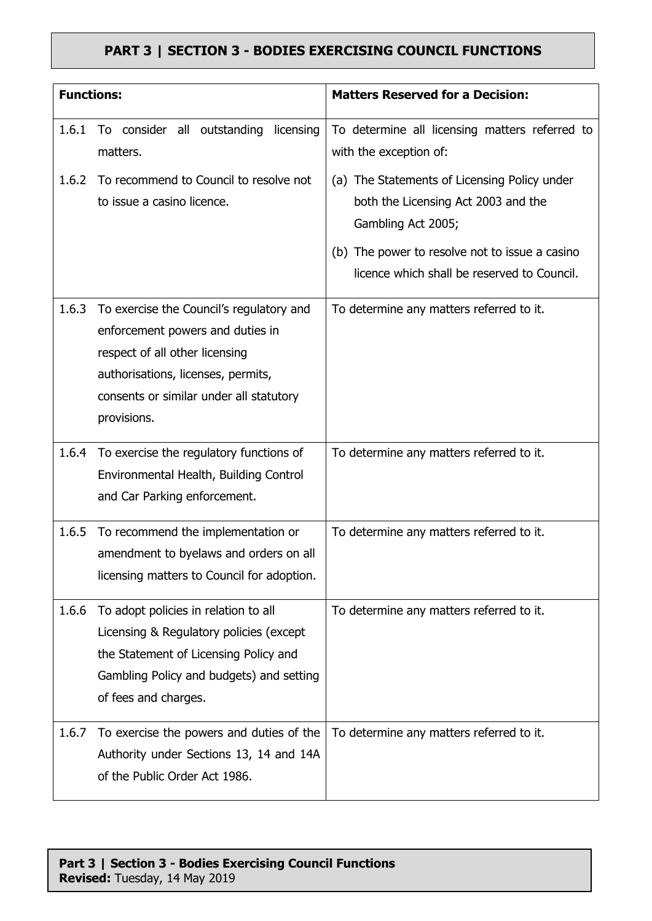| <b>Functions:</b> |                                                                                                                                                                                                                | <b>Matters Reserved for a Decision:</b>                                                                   |
|-------------------|----------------------------------------------------------------------------------------------------------------------------------------------------------------------------------------------------------------|-----------------------------------------------------------------------------------------------------------|
| 1.6.1             | To consider all outstanding licensing<br>matters.                                                                                                                                                              | To determine all licensing matters referred to<br>with the exception of:                                  |
| 1.6.2             | To recommend to Council to resolve not<br>to issue a casino licence.                                                                                                                                           | (a) The Statements of Licensing Policy under<br>both the Licensing Act 2003 and the<br>Gambling Act 2005; |
|                   |                                                                                                                                                                                                                | (b) The power to resolve not to issue a casino<br>licence which shall be reserved to Council.             |
| 1.6.3             | To exercise the Council's regulatory and<br>enforcement powers and duties in<br>respect of all other licensing<br>authorisations, licenses, permits,<br>consents or similar under all statutory<br>provisions. | To determine any matters referred to it.                                                                  |
|                   | 1.6.4 To exercise the regulatory functions of<br>Environmental Health, Building Control<br>and Car Parking enforcement.                                                                                        | To determine any matters referred to it.                                                                  |
| 1.6.5             | To recommend the implementation or<br>amendment to byelaws and orders on all<br>licensing matters to Council for adoption.                                                                                     | To determine any matters referred to it.                                                                  |
| 1.6.6             | To adopt policies in relation to all<br>Licensing & Regulatory policies (except<br>the Statement of Licensing Policy and<br>Gambling Policy and budgets) and setting<br>of fees and charges.                   | To determine any matters referred to it.                                                                  |
| 1.6.7             | To exercise the powers and duties of the<br>Authority under Sections 13, 14 and 14A<br>of the Public Order Act 1986.                                                                                           | To determine any matters referred to it.                                                                  |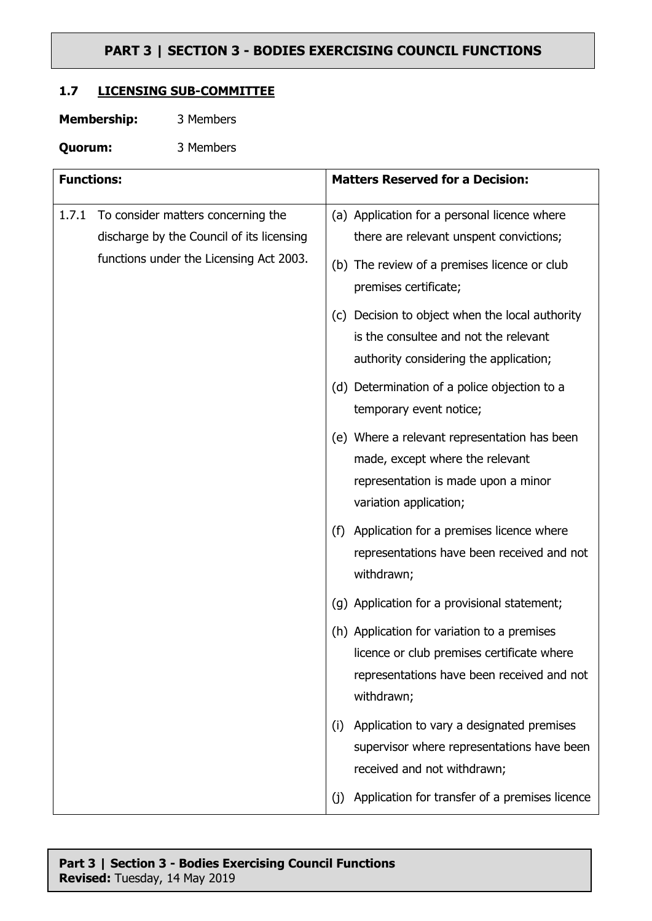## **1.7 LICENSING SUB-COMMITTEE**

| <b>Membership:</b> | 3 Members |
|--------------------|-----------|
|--------------------|-----------|

**Quorum:** 3 Members

| <b>Functions:</b> |                                                                                 | <b>Matters Reserved for a Decision:</b>                                                                                                               |  |
|-------------------|---------------------------------------------------------------------------------|-------------------------------------------------------------------------------------------------------------------------------------------------------|--|
| 1.7.1             | To consider matters concerning the<br>discharge by the Council of its licensing | (a) Application for a personal licence where<br>there are relevant unspent convictions;                                                               |  |
|                   | functions under the Licensing Act 2003.                                         | (b) The review of a premises licence or club<br>premises certificate;                                                                                 |  |
|                   |                                                                                 | (c) Decision to object when the local authority<br>is the consultee and not the relevant<br>authority considering the application;                    |  |
|                   |                                                                                 | (d) Determination of a police objection to a<br>temporary event notice;                                                                               |  |
|                   |                                                                                 | (e) Where a relevant representation has been<br>made, except where the relevant<br>representation is made upon a minor<br>variation application;      |  |
|                   |                                                                                 | Application for a premises licence where<br>(f)<br>representations have been received and not<br>withdrawn;                                           |  |
|                   |                                                                                 | (g) Application for a provisional statement;                                                                                                          |  |
|                   |                                                                                 | (h) Application for variation to a premises<br>licence or club premises certificate where<br>representations have been received and not<br>withdrawn; |  |
|                   |                                                                                 | Application to vary a designated premises<br>(i)<br>supervisor where representations have been<br>received and not withdrawn;                         |  |
|                   |                                                                                 | Application for transfer of a premises licence<br>(j)                                                                                                 |  |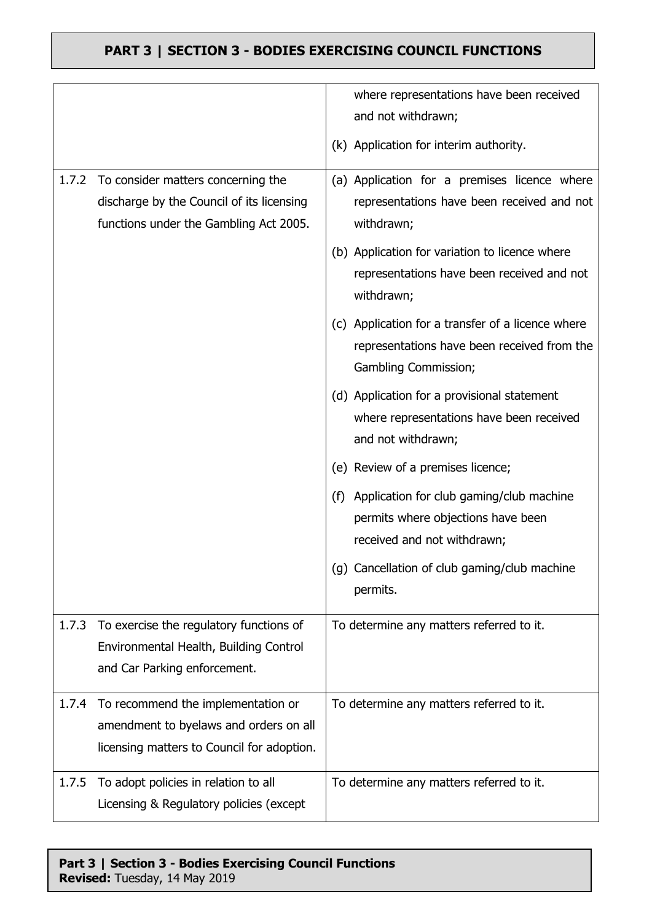|       |                                                                                                                                  | where representations have been received                                                                                 |
|-------|----------------------------------------------------------------------------------------------------------------------------------|--------------------------------------------------------------------------------------------------------------------------|
|       |                                                                                                                                  | and not withdrawn;                                                                                                       |
|       |                                                                                                                                  | (k) Application for interim authority.                                                                                   |
| 1.7.2 | To consider matters concerning the<br>discharge by the Council of its licensing<br>functions under the Gambling Act 2005.        | (a) Application for a premises licence where<br>representations have been received and not<br>withdrawn;                 |
|       |                                                                                                                                  | (b) Application for variation to licence where<br>representations have been received and not<br>withdrawn;               |
|       |                                                                                                                                  | (c) Application for a transfer of a licence where<br>representations have been received from the<br>Gambling Commission; |
|       |                                                                                                                                  | (d) Application for a provisional statement<br>where representations have been received<br>and not withdrawn;            |
|       |                                                                                                                                  | (e) Review of a premises licence;                                                                                        |
|       |                                                                                                                                  | (f) Application for club gaming/club machine<br>permits where objections have been<br>received and not withdrawn;        |
|       |                                                                                                                                  | (g) Cancellation of club gaming/club machine<br>permits.                                                                 |
| 1.7.3 | To exercise the regulatory functions of<br>Environmental Health, Building Control<br>and Car Parking enforcement.                | To determine any matters referred to it.                                                                                 |
|       | 1.7.4 To recommend the implementation or<br>amendment to byelaws and orders on all<br>licensing matters to Council for adoption. | To determine any matters referred to it.                                                                                 |
| 1.7.5 | To adopt policies in relation to all<br>Licensing & Regulatory policies (except                                                  | To determine any matters referred to it.                                                                                 |

## **Part 3 | Section 3 - Bodies Exercising Council Functions Revised:** Tuesday, 14 May 2019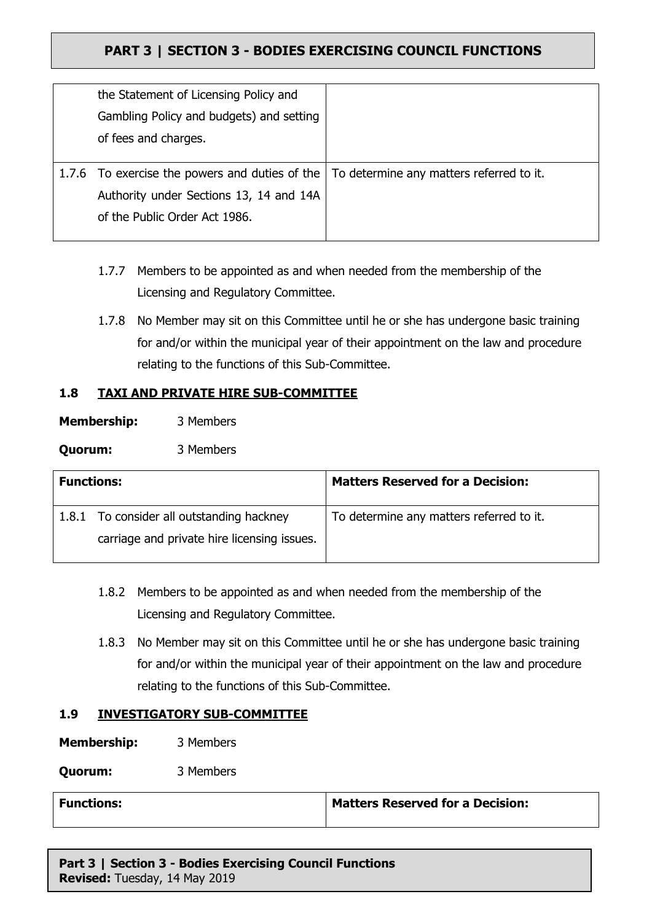| the Statement of Licensing Policy and          |                                          |
|------------------------------------------------|------------------------------------------|
| Gambling Policy and budgets) and setting       |                                          |
| of fees and charges.                           |                                          |
|                                                |                                          |
| 1.7.6 To exercise the powers and duties of the | To determine any matters referred to it. |
| Authority under Sections 13, 14 and 14A        |                                          |
| of the Public Order Act 1986.                  |                                          |
|                                                |                                          |

- 1.7.7 Members to be appointed as and when needed from the membership of the Licensing and Regulatory Committee.
- 1.7.8 No Member may sit on this Committee until he or she has undergone basic training for and/or within the municipal year of their appointment on the law and procedure relating to the functions of this Sub-Committee.

## **1.8 TAXI AND PRIVATE HIRE SUB-COMMITTEE**

| <b>Membership:</b> | 3 Members |
|--------------------|-----------|
|--------------------|-----------|

**Quorum:** 3 Members

| <b>Functions:</b> |                                             | <b>Matters Reserved for a Decision:</b>  |
|-------------------|---------------------------------------------|------------------------------------------|
|                   | 1.8.1 To consider all outstanding hackney   | To determine any matters referred to it. |
|                   | carriage and private hire licensing issues. |                                          |
|                   |                                             |                                          |

- 1.8.2 Members to be appointed as and when needed from the membership of the Licensing and Regulatory Committee.
- 1.8.3 No Member may sit on this Committee until he or she has undergone basic training for and/or within the municipal year of their appointment on the law and procedure relating to the functions of this Sub-Committee.

## **1.9 INVESTIGATORY SUB-COMMITTEE**

**Membership:** 3 Members

**Quorum:** 3 Members

| <b>Functions:</b> | <b>Matters Reserved for a Decision:</b> |
|-------------------|-----------------------------------------|
|                   |                                         |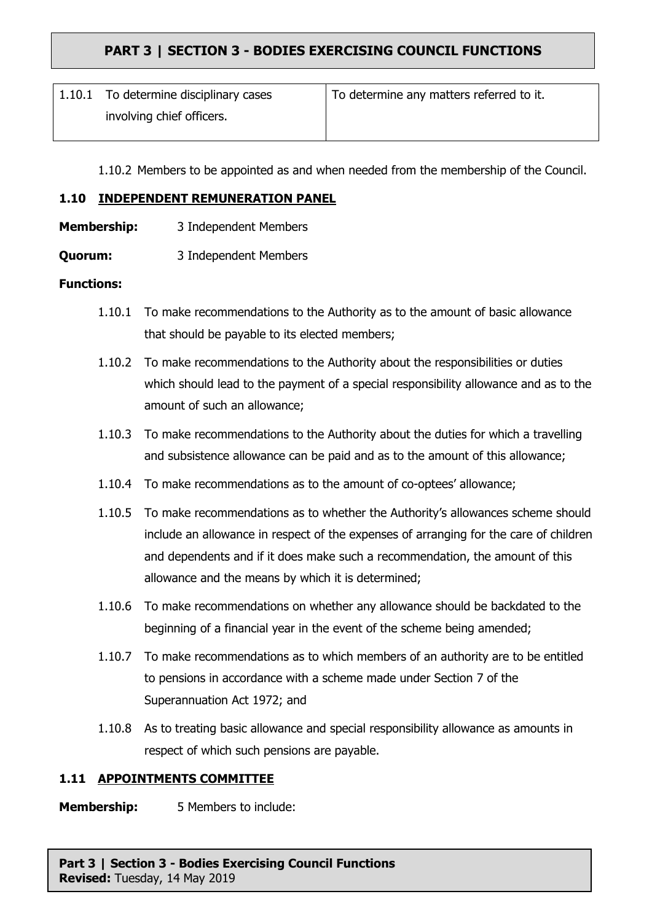| 1.10.1 To determine disciplinary cases | To determine any matters referred to it. |
|----------------------------------------|------------------------------------------|
| involving chief officers.              |                                          |

1.10.2 Members to be appointed as and when needed from the membership of the Council.

## **1.10 INDEPENDENT REMUNERATION PANEL**

- **Membership:** 3 Independent Members
- **Quorum:** 3 Independent Members

### **Functions:**

- 1.10.1 To make recommendations to the Authority as to the amount of basic allowance that should be payable to its elected members;
- 1.10.2 To make recommendations to the Authority about the responsibilities or duties which should lead to the payment of a special responsibility allowance and as to the amount of such an allowance;
- 1.10.3 To make recommendations to the Authority about the duties for which a travelling and subsistence allowance can be paid and as to the amount of this allowance;
- 1.10.4 To make recommendations as to the amount of co-optees' allowance;
- 1.10.5 To make recommendations as to whether the Authority's allowances scheme should include an allowance in respect of the expenses of arranging for the care of children and dependents and if it does make such a recommendation, the amount of this allowance and the means by which it is determined;
- 1.10.6 To make recommendations on whether any allowance should be backdated to the beginning of a financial year in the event of the scheme being amended;
- 1.10.7 To make recommendations as to which members of an authority are to be entitled to pensions in accordance with a scheme made under Section 7 of the Superannuation Act 1972; and
- 1.10.8 As to treating basic allowance and special responsibility allowance as amounts in respect of which such pensions are payable.

#### **1.11 APPOINTMENTS COMMITTEE**

**Membership:** 5 Members to include: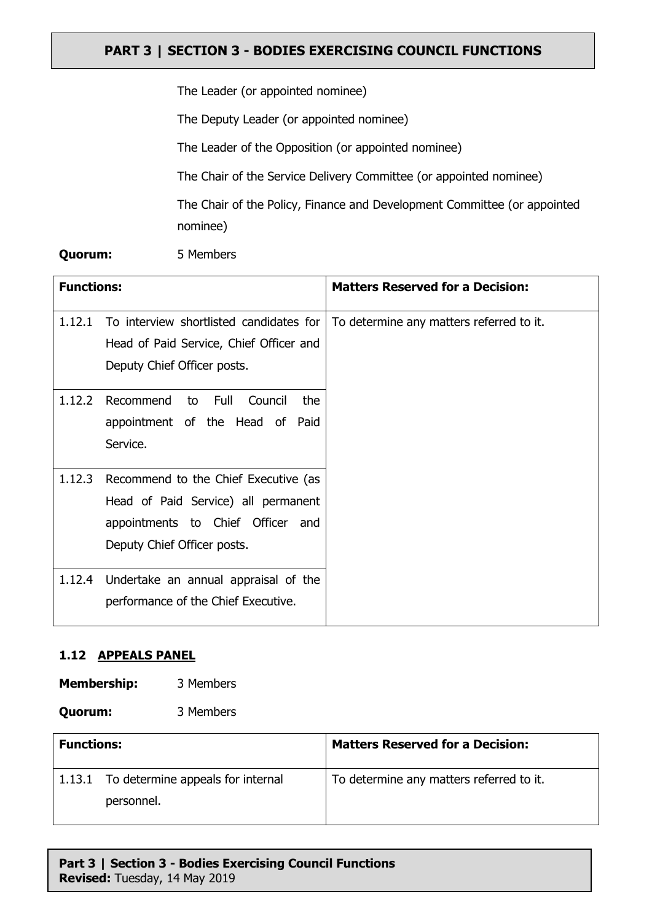The Leader (or appointed nominee)

The Deputy Leader (or appointed nominee)

The Leader of the Opposition (or appointed nominee)

The Chair of the Service Delivery Committee (or appointed nominee)

The Chair of the Policy, Finance and Development Committee (or appointed nominee)

### **Quorum:** 5 Members

| <b>Functions:</b> |                                           | <b>Matters Reserved for a Decision:</b>  |
|-------------------|-------------------------------------------|------------------------------------------|
| 1.12.1            | To interview shortlisted candidates for   | To determine any matters referred to it. |
|                   | Head of Paid Service, Chief Officer and   |                                          |
|                   | Deputy Chief Officer posts.               |                                          |
| 1.12.2            | Full<br>Recommend<br>Council<br>to<br>the |                                          |
|                   | appointment of the Head of Paid           |                                          |
|                   | Service.                                  |                                          |
| 1.12.3            | Recommend to the Chief Executive (as      |                                          |
|                   | Head of Paid Service) all permanent       |                                          |
|                   | appointments to Chief Officer and         |                                          |
|                   | Deputy Chief Officer posts.               |                                          |
| 1.12.4            | Undertake an annual appraisal of the      |                                          |
|                   | performance of the Chief Executive.       |                                          |

## **1.12 APPEALS PANEL**

**Membership:** 3 Members

**Quorum:** 3 Members

| <b>Functions:</b> |                                          | <b>Matters Reserved for a Decision:</b>  |
|-------------------|------------------------------------------|------------------------------------------|
|                   | 1.13.1 To determine appeals for internal | To determine any matters referred to it. |
|                   | personnel.                               |                                          |
|                   |                                          |                                          |